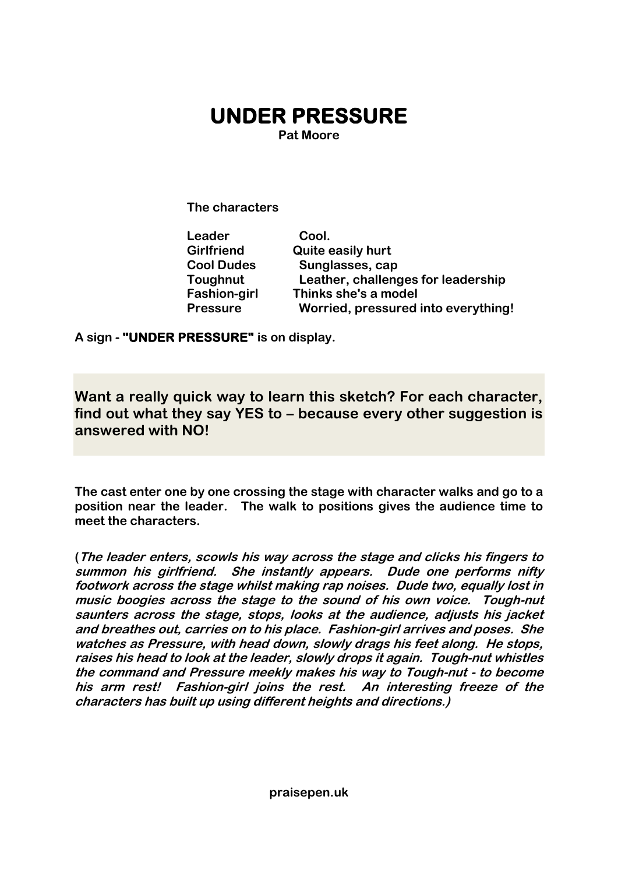## **UNDER PRESSURE**

**Pat Moore**

**The characters**

| Leader              | Cool.                               |
|---------------------|-------------------------------------|
| <b>Girlfriend</b>   | <b>Quite easily hurt</b>            |
| <b>Cool Dudes</b>   | Sunglasses, cap                     |
| Toughnut            | Leather, challenges for leadership  |
| <b>Fashion-girl</b> | Thinks she's a model                |
| <b>Pressure</b>     | Worried, pressured into everything! |

**A sign - "UNDER PRESSURE" is on display.**

**Want a really quick way to learn this sketch? For each character, find out what they say YES to – because every other suggestion is answered with NO!**

**The cast enter one by one crossing the stage with character walks and go to a position near the leader. The walk to positions gives the audience time to meet the characters.**

**(The leader enters, scowls his way across the stage and clicks his fingers to summon his girlfriend. She instantly appears. Dude one performs nifty footwork across the stage whilst making rap noises. Dude two, equally lost in music boogies across the stage to the sound of his own voice. Tough-nut saunters across the stage, stops, looks at the audience, adjusts his jacket and breathes out, carries on to his place. Fashion-girl arrives and poses. She watches as Pressure, with head down, slowly drags his feet along. He stops, raises his head to look at the leader, slowly drops it again. Tough-nut whistles the command and Pressure meekly makes his way to Tough-nut - to become his arm rest! Fashion-girl joins the rest. An interesting freeze of the characters has built up using different heights and directions.)**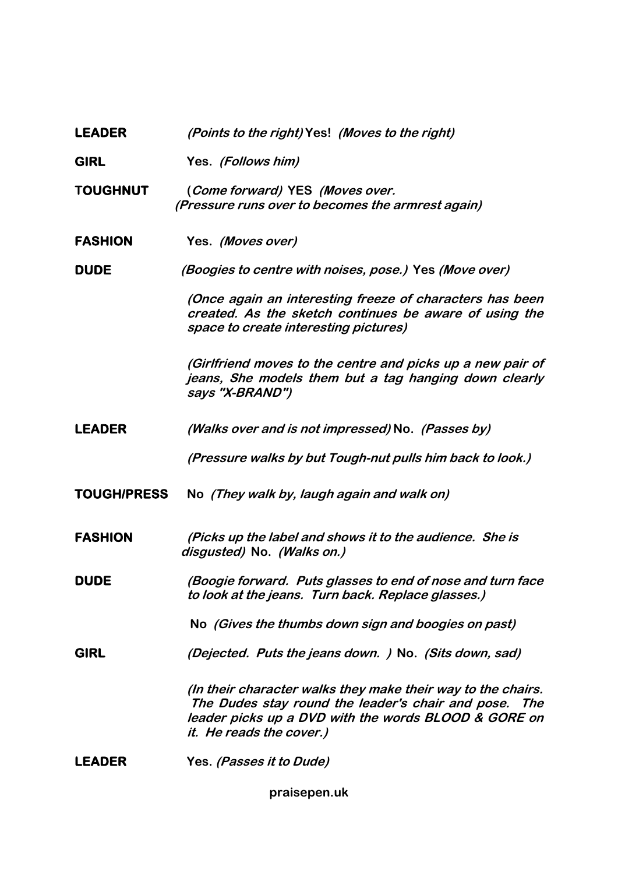## **LEADER (Points to the right) Yes! (Moves to the right)**

**GIRL Yes. (Follows him)**

- **TOUGHNUT (Come forward) YES (Moves over. (Pressure runs over to becomes the armrest again)**
- **FASHION Yes. (Moves over)**

**DUDE (Boogies to centre with noises, pose.) Yes (Move over)**

**(Once again an interesting freeze of characters has been created. As the sketch continues be aware of using the space to create interesting pictures)**

**(Girlfriend moves to the centre and picks up a new pair of jeans, She models them but a tag hanging down clearly says "X-BRAND")**

**LEADER (Walks over and is not impressed) No. (Passes by)**

**(Pressure walks by but Tough-nut pulls him back to look.)**

**TOUGH/PRESS No (They walk by, laugh again and walk on)**

**FASHION (Picks up the label and shows it to the audience. She is disgusted) No. (Walks on.)**

**DUDE (Boogie forward. Puts glasses to end of nose and turn face to look at the jeans. Turn back. Replace glasses.)**

**No (Gives the thumbs down sign and boogies on past)**

**GIRL (Dejected. Puts the jeans down. ) No. (Sits down, sad)**

**(In their character walks they make their way to the chairs. The Dudes stay round the leader's chair and pose. The leader picks up a DVD with the words BLOOD & GORE on it. He reads the cover.)**

**LEADER Yes. (Passes it to Dude)**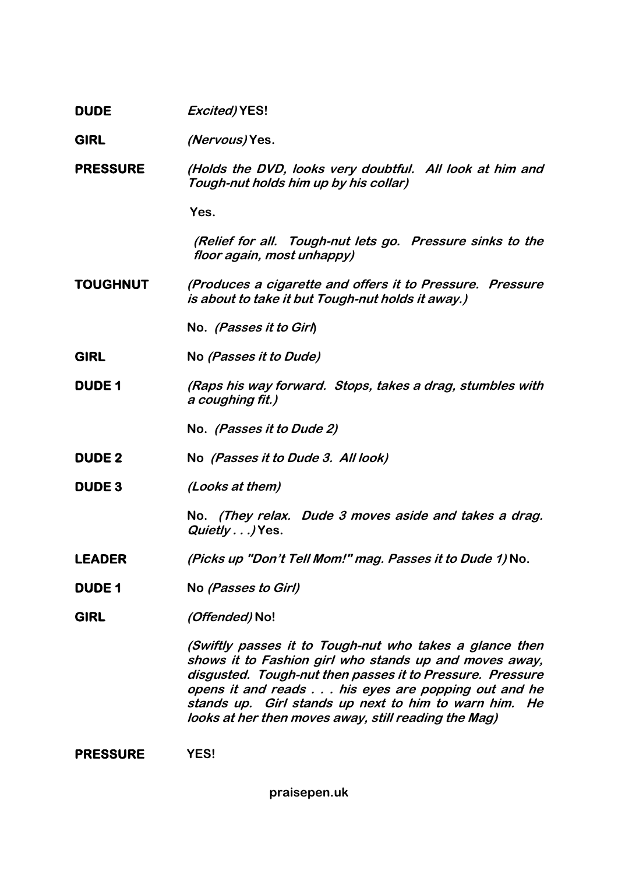| <b>DUDE</b>     | <b>Excited) YES!</b>                                                                                                                                                                                                                                                                                                                                  |
|-----------------|-------------------------------------------------------------------------------------------------------------------------------------------------------------------------------------------------------------------------------------------------------------------------------------------------------------------------------------------------------|
| <b>GIRL</b>     | <i>(Nervous)</i> Yes.                                                                                                                                                                                                                                                                                                                                 |
| <b>PRESSURE</b> | (Holds the DVD, looks very doubtful. All look at him and<br>Tough-nut holds him up by his collar)                                                                                                                                                                                                                                                     |
|                 | Yes.                                                                                                                                                                                                                                                                                                                                                  |
|                 | (Relief for all. Tough-nut lets go. Pressure sinks to the<br>floor again, most unhappy)                                                                                                                                                                                                                                                               |
| <b>TOUGHNUT</b> | (Produces a cigarette and offers it to Pressure. Pressure<br>is about to take it but Tough-nut holds it away.)                                                                                                                                                                                                                                        |
|                 | No. (Passes it to Girl)                                                                                                                                                                                                                                                                                                                               |
| <b>GIRL</b>     | No (Passes it to Dude)                                                                                                                                                                                                                                                                                                                                |
| <b>DUDE 1</b>   | (Raps his way forward. Stops, takes a drag, stumbles with<br>a coughing fit.)                                                                                                                                                                                                                                                                         |
|                 | No. (Passes it to Dude 2)                                                                                                                                                                                                                                                                                                                             |
| <b>DUDE 2</b>   | No (Passes it to Dude 3. All look)                                                                                                                                                                                                                                                                                                                    |
| <b>DUDE3</b>    | (Looks at them)                                                                                                                                                                                                                                                                                                                                       |
|                 | No. (They relax. Dude 3 moves aside and takes a drag.<br>Quietly) Yes.                                                                                                                                                                                                                                                                                |
| <b>LEADER</b>   | (Picks up "Don't Tell Mom!" mag. Passes it to Dude 1) No.                                                                                                                                                                                                                                                                                             |
| <b>DUDE 1</b>   | No (Passes to Girl)                                                                                                                                                                                                                                                                                                                                   |
| <b>GIRL</b>     | (Offended) No!                                                                                                                                                                                                                                                                                                                                        |
|                 | (Swiftly passes it to Tough-nut who takes a glance then<br>shows it to Fashion girl who stands up and moves away,<br>disgusted. Tough-nut then passes it to Pressure. Pressure<br>opens it and reads his eyes are popping out and he<br>stands up. Girl stands up next to him to warn him. He<br>looks at her then moves away, still reading the Mag) |
|                 |                                                                                                                                                                                                                                                                                                                                                       |

**PRESSURE YES!** 

**praisepen.uk**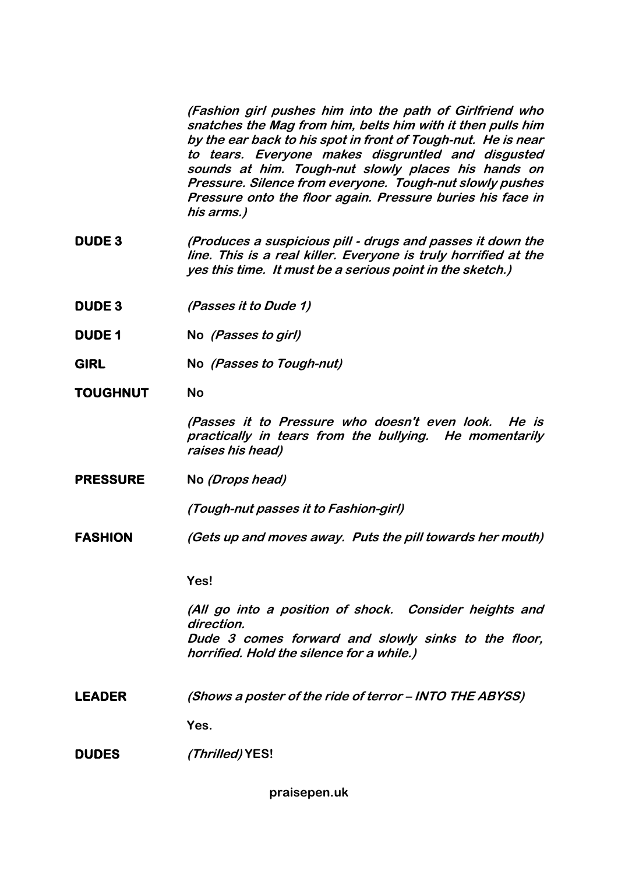**(Fashion girl pushes him into the path of Girlfriend who snatches the Mag from him, belts him with it then pulls him by the ear back to his spot in front of Tough-nut. He is near to tears. Everyone makes disgruntled and disgusted sounds at him. Tough-nut slowly places his hands on Pressure. Silence from everyone. Tough-nut slowly pushes Pressure onto the floor again. Pressure buries his face in his arms.)**

- **DUDE 3 (Produces a suspicious pill - drugs and passes it down the line. This is a real killer. Everyone is truly horrified at the yes this time. It must be a serious point in the sketch.)**
- **DUDE 3 (Passes it to Dude 1)**
- **DUDE 1 No (Passes to girl)**
- **GIRL No (Passes to Tough-nut)**
- **TOUGHNUT No**

**(Passes it to Pressure who doesn't even look. He is practically in tears from the bullying. He momentarily raises his head)**

**PRESSURE No (Drops head)**

**(Tough-nut passes it to Fashion-girl)**

**FASHION (Gets up and moves away. Puts the pill towards her mouth)**

**Yes!**

**(All go into a position of shock. Consider heights and direction. Dude 3 comes forward and slowly sinks to the floor, horrified. Hold the silence for a while.)**

**LEADER (Shows a poster of the ride of terror – INTO THE ABYSS)**

**Yes.**

**DUDES (Thrilled) YES!**

**praisepen.uk**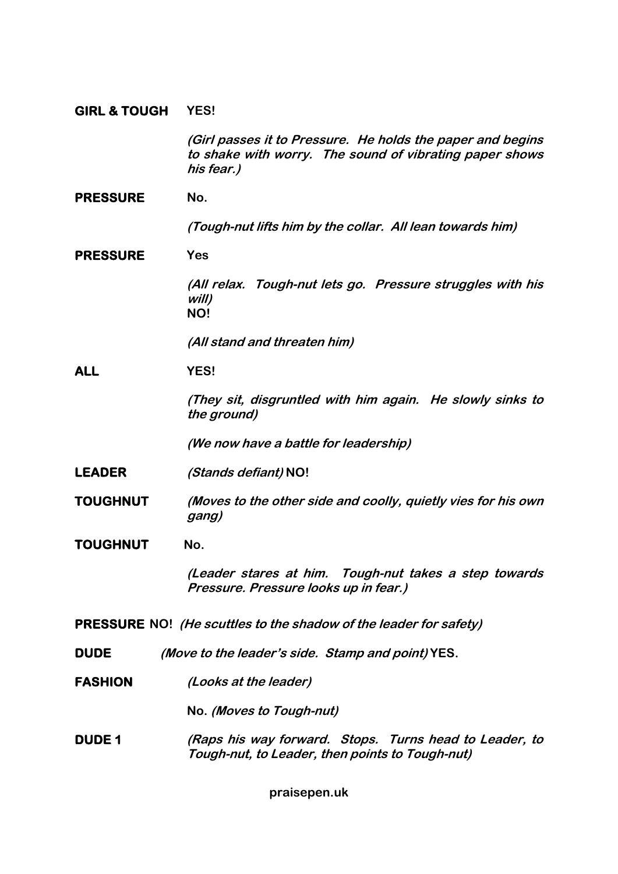## **GIRL & TOUGH YES!**

**(Girl passes it to Pressure. He holds the paper and begins to shake with worry. The sound of vibrating paper shows his fear.)**

PRESSURE No.

**(Tough-nut lifts him by the collar. All lean towards him)**

**PRESSURE Yes** 

**(All relax. Tough-nut lets go. Pressure struggles with his will) NO!**

**(All stand and threaten him)**

**ALL YES!**

**(They sit, disgruntled with him again. He slowly sinks to the ground)** 

**(We now have a battle for leadership)**

- **LEADER (Stands defiant) NO!**
- **TOUGHNUT (Moves to the other side and coolly, quietly vies for his own gang)**
- **TOUGHNUT No.**

**(Leader stares at him. Tough-nut takes a step towards Pressure. Pressure looks up in fear.)**

**PRESSURE NO! (He scuttles to the shadow of the leader for safety)**

- **DUDE (Move to the leader's side. Stamp and point) YES.**
- **FASHION (Looks at the leader)**

**No. (Moves to Tough-nut)**

**DUDE 1 (Raps his way forward. Stops. Turns head to Leader, to Tough-nut, to Leader, then points to Tough-nut)** 

**praisepen.uk**